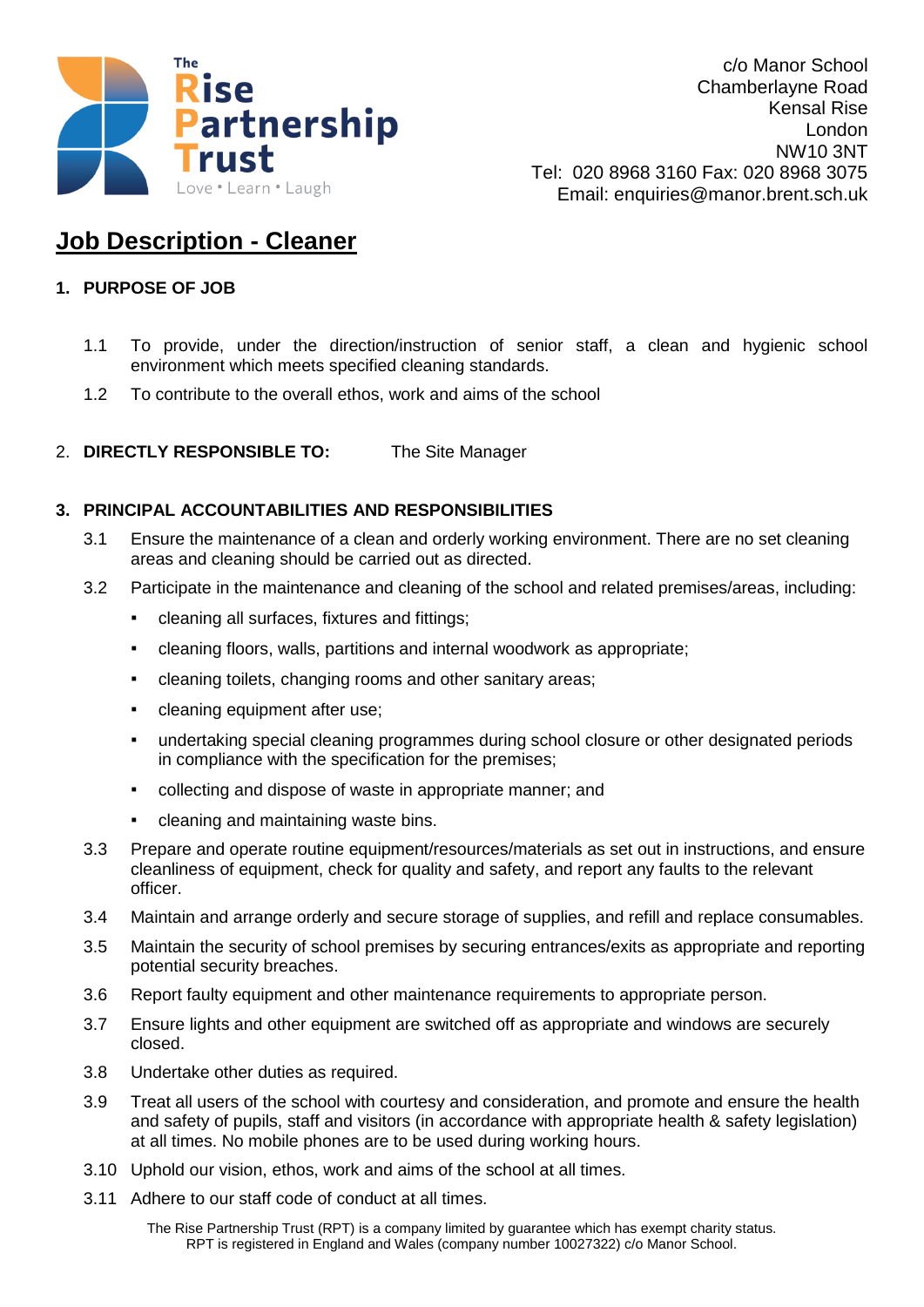

c/o Manor School Chamberlayne Road Kensal Rise London NW10 3NT Tel: 020 8968 3160 Fax: 020 8968 3075 Email: enquiries@manor.brent.sch.uk

## **Job Description - Cleaner**

## **1. PURPOSE OF JOB**

- 1.1 To provide, under the direction/instruction of senior staff, a clean and hygienic school environment which meets specified cleaning standards.
- 1.2 To contribute to the overall ethos, work and aims of the school
- 2. **DIRECTLY RESPONSIBLE TO:** The Site Manager

## **3. PRINCIPAL ACCOUNTABILITIES AND RESPONSIBILITIES**

- 3.1 Ensure the maintenance of a clean and orderly working environment. There are no set cleaning areas and cleaning should be carried out as directed.
- 3.2 Participate in the maintenance and cleaning of the school and related premises/areas, including:
	- cleaning all surfaces, fixtures and fittings;
	- cleaning floors, walls, partitions and internal woodwork as appropriate;
	- cleaning toilets, changing rooms and other sanitary areas;
	- cleaning equipment after use;
	- undertaking special cleaning programmes during school closure or other designated periods in compliance with the specification for the premises;
	- collecting and dispose of waste in appropriate manner; and
	- cleaning and maintaining waste bins.
- 3.3 Prepare and operate routine equipment/resources/materials as set out in instructions, and ensure cleanliness of equipment, check for quality and safety, and report any faults to the relevant officer.
- 3.4 Maintain and arrange orderly and secure storage of supplies, and refill and replace consumables.
- 3.5 Maintain the security of school premises by securing entrances/exits as appropriate and reporting potential security breaches.
- 3.6 Report faulty equipment and other maintenance requirements to appropriate person.
- 3.7 Ensure lights and other equipment are switched off as appropriate and windows are securely closed.
- 3.8 Undertake other duties as required.
- 3.9 Treat all users of the school with courtesy and consideration, and promote and ensure the health and safety of pupils, staff and visitors (in accordance with appropriate health & safety legislation) at all times. No mobile phones are to be used during working hours.
- 3.10 Uphold our vision, ethos, work and aims of the school at all times.
- 3.11 Adhere to our staff code of conduct at all times.

The Rise Partnership Trust (RPT) is a company limited by guarantee which has exempt charity status. RPT is registered in England and Wales (company number 10027322) c/o Manor School.